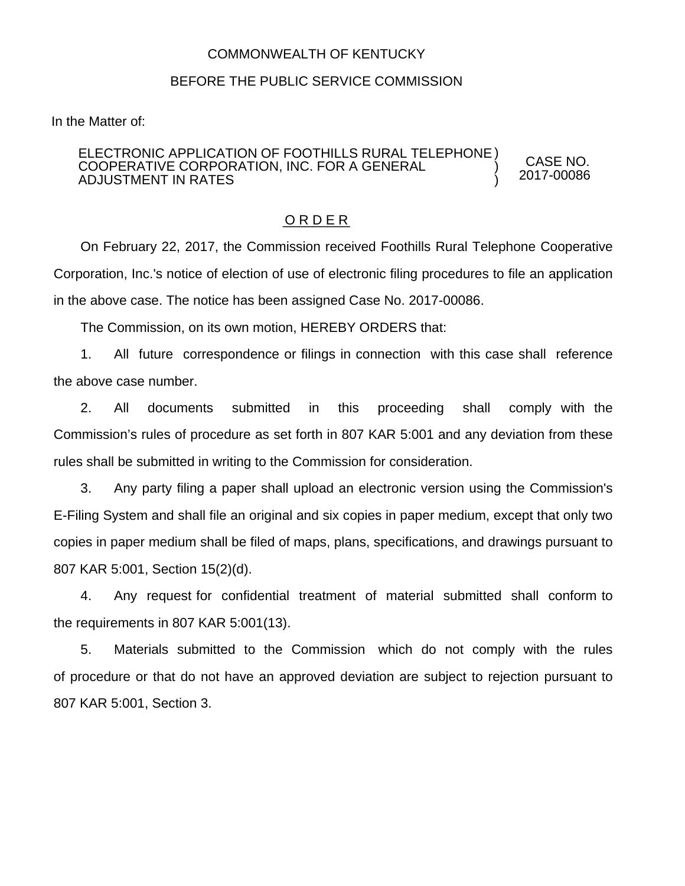## COMMONWEALTH OF KENTUCKY

## BEFORE THE PUBLIC SERVICE COMMISSION

In the Matter of:

## ELECTRONIC APPLICATION OF FOOTHILLS RURAL TELEPHONE ) COOPERATIVE CORPORATION, INC. FOR A GENERAL ADJUSTMENT IN RATES ) )

O R D E R

On February 22, 2017, the Commission received Foothills Rural Telephone Cooperative Corporation, Inc.'s notice of election of use of electronic filing procedures to file an application in the above case. The notice has been assigned Case No. 2017-00086.

CASE NO. 2017-00086

The Commission, on its own motion, HEREBY ORDERS that:

1. All future correspondence or filings in connection with this case shall reference the above case number.

2. All documents submitted in this proceeding shall comply with the Commission's rules of procedure as set forth in 807 KAR 5:001 and any deviation from these rules shall be submitted in writing to the Commission for consideration.

3. Any party filing a paper shall upload an electronic version using the Commission's E-Filing System and shall file an original and six copies in paper medium, except that only two copies in paper medium shall be filed of maps, plans, specifications, and drawings pursuant to 807 KAR 5:001, Section 15(2)(d).

4. Any request for confidential treatment of material submitted shall conform to the requirements in 807 KAR 5:001(13).

5. Materials submitted to the Commission which do not comply with the rules of procedure or that do not have an approved deviation are subject to rejection pursuant to 807 KAR 5:001, Section 3.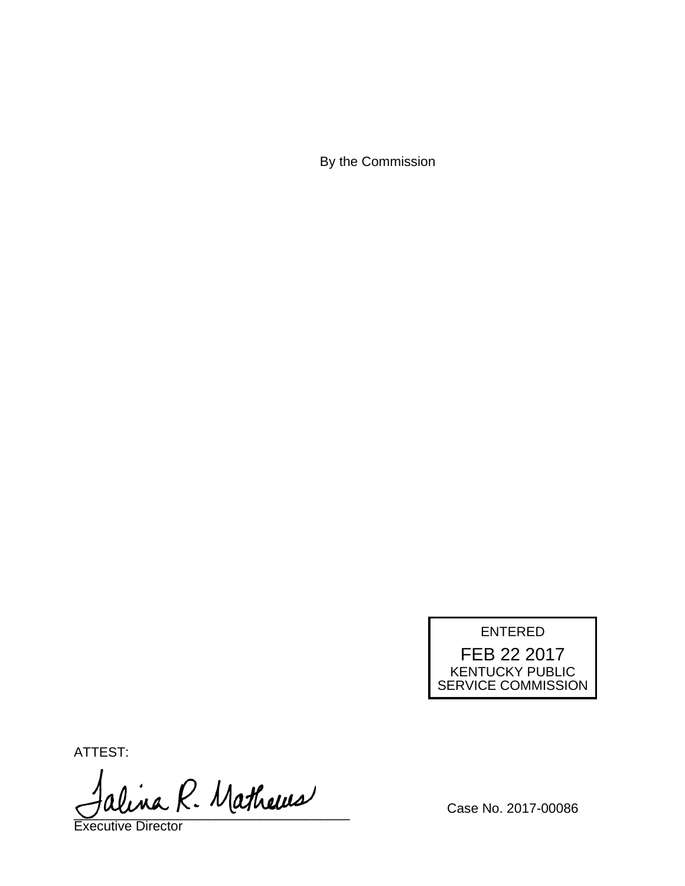By the Commission



ATTEST:

alina R. Mathews

Executive Director

Case No. 2017-00086